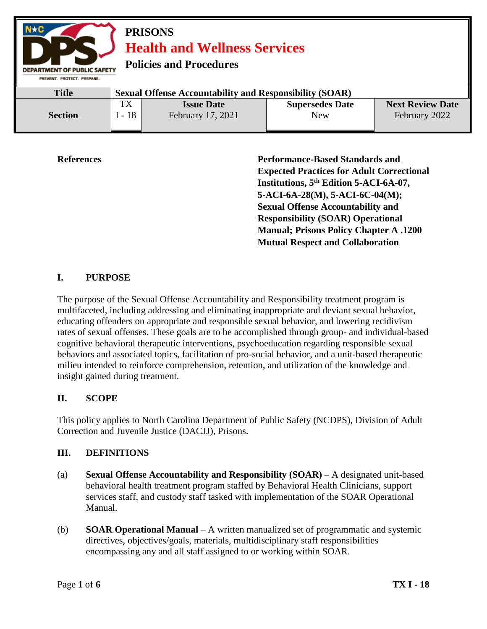

**References Performance-Based Standards and Expected Practices for Adult Correctional Institutions, 5th Edition 5-ACI-6A-07, 5-ACI-6A-28(M), 5-ACI-6C-04(M); Sexual Offense Accountability and Responsibility (SOAR) Operational Manual; Prisons Policy Chapter A .1200 Mutual Respect and Collaboration**

# **I. PURPOSE**

The purpose of the Sexual Offense Accountability and Responsibility treatment program is multifaceted, including addressing and eliminating inappropriate and deviant sexual behavior, educating offenders on appropriate and responsible sexual behavior, and lowering recidivism rates of sexual offenses. These goals are to be accomplished through group- and individual-based cognitive behavioral therapeutic interventions, psychoeducation regarding responsible sexual behaviors and associated topics, facilitation of pro-social behavior, and a unit-based therapeutic milieu intended to reinforce comprehension, retention, and utilization of the knowledge and insight gained during treatment.

## **II. SCOPE**

This policy applies to North Carolina Department of Public Safety (NCDPS), Division of Adult Correction and Juvenile Justice (DACJJ), Prisons.

#### **III. DEFINITIONS**

- (a) **Sexual Offense Accountability and Responsibility (SOAR)** A designated unit-based behavioral health treatment program staffed by Behavioral Health Clinicians, support services staff, and custody staff tasked with implementation of the SOAR Operational Manual.
- (b) **SOAR Operational Manual** A written manualized set of programmatic and systemic directives, objectives/goals, materials, multidisciplinary staff responsibilities encompassing any and all staff assigned to or working within SOAR.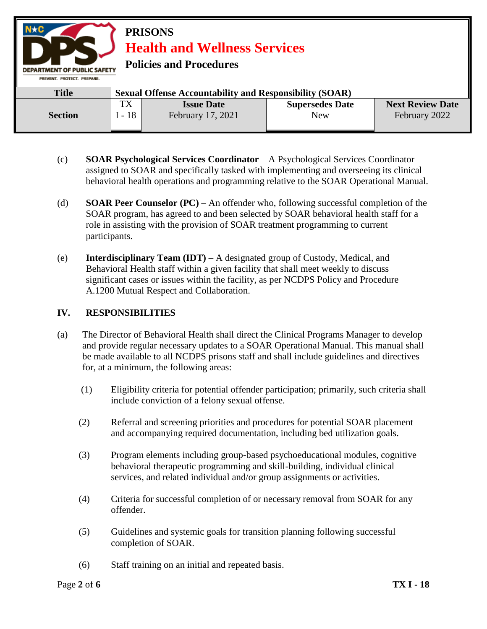

- (c) **SOAR Psychological Services Coordinator** A Psychological Services Coordinator assigned to SOAR and specifically tasked with implementing and overseeing its clinical behavioral health operations and programming relative to the SOAR Operational Manual.
- (d) **SOAR Peer Counselor (PC)**  An offender who, following successful completion of the SOAR program, has agreed to and been selected by SOAR behavioral health staff for a role in assisting with the provision of SOAR treatment programming to current participants.
- (e) **Interdisciplinary Team (IDT)** A designated group of Custody, Medical, and Behavioral Health staff within a given facility that shall meet weekly to discuss significant cases or issues within the facility, as per NCDPS Policy and Procedure A.1200 Mutual Respect and Collaboration.

### **IV. RESPONSIBILITIES**

- (a) The Director of Behavioral Health shall direct the Clinical Programs Manager to develop and provide regular necessary updates to a SOAR Operational Manual. This manual shall be made available to all NCDPS prisons staff and shall include guidelines and directives for, at a minimum, the following areas:
	- (1) Eligibility criteria for potential offender participation; primarily, such criteria shall include conviction of a felony sexual offense.
	- (2) Referral and screening priorities and procedures for potential SOAR placement and accompanying required documentation, including bed utilization goals.
	- (3) Program elements including group-based psychoeducational modules, cognitive behavioral therapeutic programming and skill-building, individual clinical services, and related individual and/or group assignments or activities.
	- (4) Criteria for successful completion of or necessary removal from SOAR for any offender.
	- (5) Guidelines and systemic goals for transition planning following successful completion of SOAR.
	- (6) Staff training on an initial and repeated basis.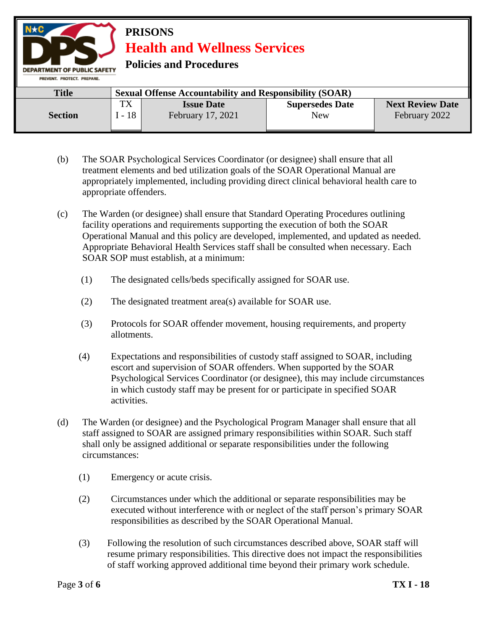

- (b) The SOAR Psychological Services Coordinator (or designee) shall ensure that all treatment elements and bed utilization goals of the SOAR Operational Manual are appropriately implemented, including providing direct clinical behavioral health care to appropriate offenders.
- (c) The Warden (or designee) shall ensure that Standard Operating Procedures outlining facility operations and requirements supporting the execution of both the SOAR Operational Manual and this policy are developed, implemented, and updated as needed. Appropriate Behavioral Health Services staff shall be consulted when necessary. Each SOAR SOP must establish, at a minimum:
	- (1) The designated cells/beds specifically assigned for SOAR use.
	- (2) The designated treatment area(s) available for SOAR use.
	- (3) Protocols for SOAR offender movement, housing requirements, and property allotments.
	- (4) Expectations and responsibilities of custody staff assigned to SOAR, including escort and supervision of SOAR offenders. When supported by the SOAR Psychological Services Coordinator (or designee), this may include circumstances in which custody staff may be present for or participate in specified SOAR activities.
- (d) The Warden (or designee) and the Psychological Program Manager shall ensure that all staff assigned to SOAR are assigned primary responsibilities within SOAR. Such staff shall only be assigned additional or separate responsibilities under the following circumstances:
	- (1) Emergency or acute crisis.
	- (2) Circumstances under which the additional or separate responsibilities may be executed without interference with or neglect of the staff person's primary SOAR responsibilities as described by the SOAR Operational Manual.
	- (3) Following the resolution of such circumstances described above, SOAR staff will resume primary responsibilities. This directive does not impact the responsibilities of staff working approved additional time beyond their primary work schedule.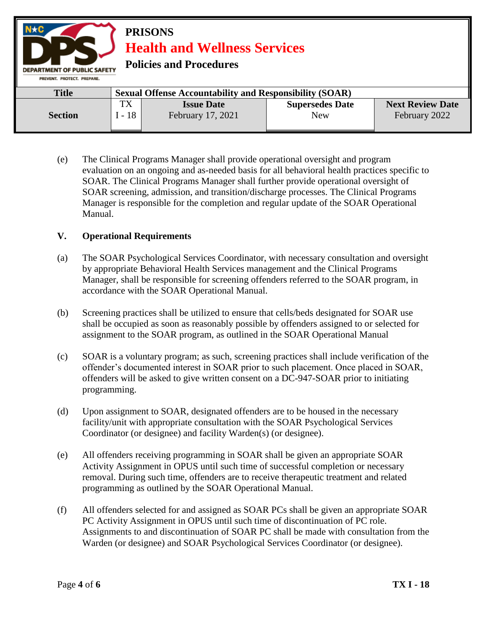**PRISONS Health and Wellness Services Policies and Procedures DEPARTMENT OF PUBLIC SAFETY** PREVENT. PROTECT. PREPARE. **Title Sexual Offense Accountability and Responsibility (SOAR)** TX **Issue Date Supersedes Date Next Review Date** I - 18 **Section** February 17, 2021 New February 2022

(e) The Clinical Programs Manager shall provide operational oversight and program evaluation on an ongoing and as-needed basis for all behavioral health practices specific to SOAR. The Clinical Programs Manager shall further provide operational oversight of SOAR screening, admission, and transition/discharge processes. The Clinical Programs Manager is responsible for the completion and regular update of the SOAR Operational Manual.

## **V. Operational Requirements**

- (a) The SOAR Psychological Services Coordinator, with necessary consultation and oversight by appropriate Behavioral Health Services management and the Clinical Programs Manager, shall be responsible for screening offenders referred to the SOAR program, in accordance with the SOAR Operational Manual.
- (b) Screening practices shall be utilized to ensure that cells/beds designated for SOAR use shall be occupied as soon as reasonably possible by offenders assigned to or selected for assignment to the SOAR program, as outlined in the SOAR Operational Manual
- (c) SOAR is a voluntary program; as such, screening practices shall include verification of the offender's documented interest in SOAR prior to such placement. Once placed in SOAR, offenders will be asked to give written consent on a DC-947-SOAR prior to initiating programming.
- (d) Upon assignment to SOAR, designated offenders are to be housed in the necessary facility/unit with appropriate consultation with the SOAR Psychological Services Coordinator (or designee) and facility Warden(s) (or designee).
- (e) All offenders receiving programming in SOAR shall be given an appropriate SOAR Activity Assignment in OPUS until such time of successful completion or necessary removal. During such time, offenders are to receive therapeutic treatment and related programming as outlined by the SOAR Operational Manual.
- (f) All offenders selected for and assigned as SOAR PCs shall be given an appropriate SOAR PC Activity Assignment in OPUS until such time of discontinuation of PC role. Assignments to and discontinuation of SOAR PC shall be made with consultation from the Warden (or designee) and SOAR Psychological Services Coordinator (or designee).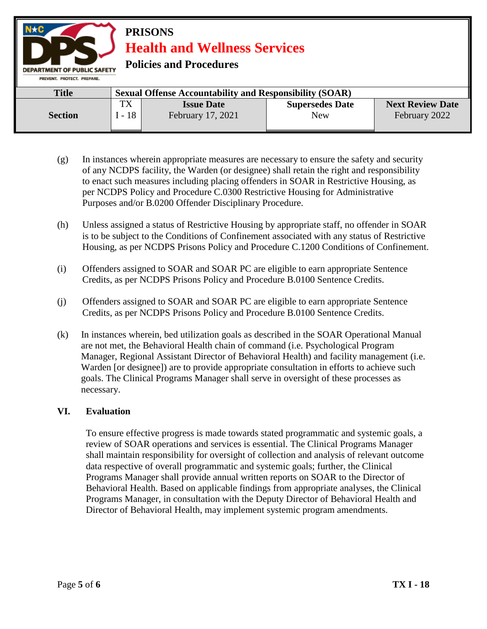**PRISONS Health and Wellness Services Policies and Procedures DEPARTMENT OF PUBLIC SAFETY** PREVENT. PROTECT. PREPARE. **Title Sexual Offense Accountability and Responsibility (SOAR)** TX **Issue Date Supersedes Date Next Review Date** I - 18 **Section** February 17, 2021 New February 2022

- (g) In instances wherein appropriate measures are necessary to ensure the safety and security of any NCDPS facility, the Warden (or designee) shall retain the right and responsibility to enact such measures including placing offenders in SOAR in Restrictive Housing, as per NCDPS Policy and Procedure C.0300 Restrictive Housing for Administrative Purposes and/or B.0200 Offender Disciplinary Procedure.
- (h) Unless assigned a status of Restrictive Housing by appropriate staff, no offender in SOAR is to be subject to the Conditions of Confinement associated with any status of Restrictive Housing, as per NCDPS Prisons Policy and Procedure C.1200 Conditions of Confinement.
- (i) Offenders assigned to SOAR and SOAR PC are eligible to earn appropriate Sentence Credits, as per NCDPS Prisons Policy and Procedure B.0100 Sentence Credits.
- (j) Offenders assigned to SOAR and SOAR PC are eligible to earn appropriate Sentence Credits, as per NCDPS Prisons Policy and Procedure B.0100 Sentence Credits.
- (k) In instances wherein, bed utilization goals as described in the SOAR Operational Manual are not met, the Behavioral Health chain of command (i.e. Psychological Program Manager, Regional Assistant Director of Behavioral Health) and facility management (i.e. Warden [or designee]) are to provide appropriate consultation in efforts to achieve such goals. The Clinical Programs Manager shall serve in oversight of these processes as necessary.

#### **VI. Evaluation**

To ensure effective progress is made towards stated programmatic and systemic goals, a review of SOAR operations and services is essential. The Clinical Programs Manager shall maintain responsibility for oversight of collection and analysis of relevant outcome data respective of overall programmatic and systemic goals; further, the Clinical Programs Manager shall provide annual written reports on SOAR to the Director of Behavioral Health. Based on applicable findings from appropriate analyses, the Clinical Programs Manager, in consultation with the Deputy Director of Behavioral Health and Director of Behavioral Health, may implement systemic program amendments.